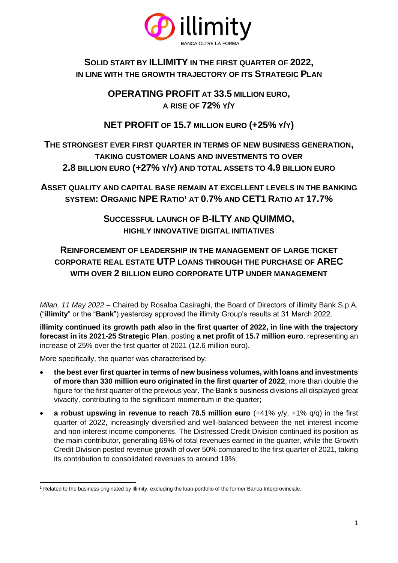

## **SOLID START BY ILLIMITY IN THE FIRST QUARTER OF 2022, IN LINE WITH THE GROWTH TRAJECTORY OF ITS STRATEGIC PLAN**

**OPERATING PROFIT AT 33.5 MILLION EURO, A RISE OF 72% Y/Y** 

# **NET PROFIT OF 15.7 MILLION EURO (+25% Y/Y)**

## **THE STRONGEST EVER FIRST QUARTER IN TERMS OF NEW BUSINESS GENERATION, TAKING CUSTOMER LOANS AND INVESTMENTS TO OVER 2.8 BILLION EURO (+27% Y/Y) AND TOTAL ASSETS TO 4.9 BILLION EURO**

**ASSET QUALITY AND CAPITAL BASE REMAIN AT EXCELLENT LEVELS IN THE BANKING SYSTEM: ORGANIC NPE RATIO<sup>1</sup> AT 0.7% AND CET1 RATIO AT 17.7%**

> **SUCCESSFUL LAUNCH OF B-ILTY AND QUIMMO, HIGHLY INNOVATIVE DIGITAL INITIATIVES**

# **REINFORCEMENT OF LEADERSHIP IN THE MANAGEMENT OF LARGE TICKET CORPORATE REAL ESTATE UTP LOANS THROUGH THE PURCHASE OF AREC WITH OVER 2 BILLION EURO CORPORATE UTP UNDER MANAGEMENT**

*Milan, 11 May 2022* – Chaired by Rosalba Casiraghi, the Board of Directors of illimity Bank S.p.A. ("**illimity**" or the "**Bank**") yesterday approved the illimity Group's results at 31 March 2022.

**illimity continued its growth path also in the first quarter of 2022, in line with the trajectory forecast in its 2021-25 Strategic Plan**, posting **a net profit of 15.7 million euro**, representing an increase of 25% over the first quarter of 2021 (12.6 million euro).

More specifically, the quarter was characterised by:

- **the best ever first quarter in terms of new business volumes, with loans and investments of more than 330 million euro originated in the first quarter of 2022**, more than double the figure for the first quarter of the previous year. The Bank's business divisions all displayed great vivacity, contributing to the significant momentum in the quarter;
- **a robust upswing in revenue to reach 78.5 million euro** (+41% y/y, +1% q/q) in the first quarter of 2022, increasingly diversified and well-balanced between the net interest income and non-interest income components. The Distressed Credit Division continued its position as the main contributor, generating 69% of total revenues earned in the quarter, while the Growth Credit Division posted revenue growth of over 50% compared to the first quarter of 2021, taking its contribution to consolidated revenues to around 19%;

<sup>1</sup> Related to the business originated by illimity, excluding the loan portfolio of the former Banca Interprovinciale.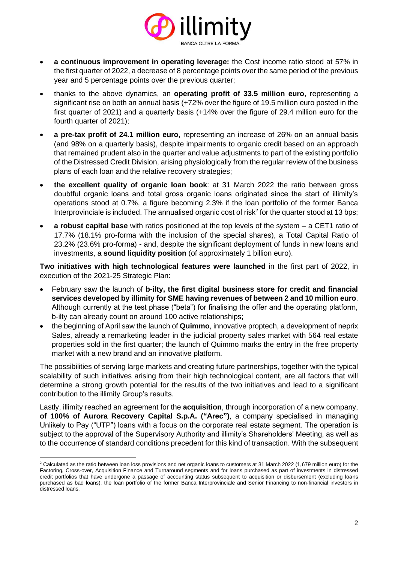

- **a continuous improvement in operating leverage:** the Cost income ratio stood at 57% in the first quarter of 2022, a decrease of 8 percentage points over the same period of the previous year and 5 percentage points over the previous quarter;
- thanks to the above dynamics, an **operating profit of 33.5 million euro**, representing a significant rise on both an annual basis (+72% over the figure of 19.5 million euro posted in the first quarter of 2021) and a quarterly basis (+14% over the figure of 29.4 million euro for the fourth quarter of 2021);
- **a pre-tax profit of 24.1 million euro**, representing an increase of 26% on an annual basis (and 98% on a quarterly basis), despite impairments to organic credit based on an approach that remained prudent also in the quarter and value adjustments to part of the existing portfolio of the Distressed Credit Division, arising physiologically from the regular review of the business plans of each loan and the relative recovery strategies;
- **the excellent quality of organic loan book**: at 31 March 2022 the ratio between gross doubtful organic loans and total gross organic loans originated since the start of illimity's operations stood at 0.7%, a figure becoming 2.3% if the loan portfolio of the former Banca Interprovinciale is included. The annualised organic cost of risk<sup>2</sup> for the quarter stood at 13 bps;
- **a robust capital base** with ratios positioned at the top levels of the system a CET1 ratio of 17.7% (18.1% pro-forma with the inclusion of the special shares), a Total Capital Ratio of 23.2% (23.6% pro-forma) - and, despite the significant deployment of funds in new loans and investments, a **sound liquidity position** (of approximately 1 billion euro).

**Two initiatives with high technological features were launched** in the first part of 2022, in execution of the 2021-25 Strategic Plan:

- February saw the launch of **b-ilty, the first digital business store for credit and financial services developed by illimity for SME having revenues of between 2 and 10 million euro**. Although currently at the test phase ("beta") for finalising the offer and the operating platform, b-ilty can already count on around 100 active relationships;
- the beginning of April saw the launch of **Quimmo**, innovative proptech, a development of neprix Sales, already a remarketing leader in the judicial property sales market with 564 real estate properties sold in the first quarter; the launch of Quimmo marks the entry in the free property market with a new brand and an innovative platform.

The possibilities of serving large markets and creating future partnerships, together with the typical scalability of such initiatives arising from their high technological content, are all factors that will determine a strong growth potential for the results of the two initiatives and lead to a significant contribution to the illimity Group's results.

Lastly, illimity reached an agreement for the **acquisition**, through incorporation of a new company, **of 100% of Aurora Recovery Capital S.p.A. ("Arec")**, a company specialised in managing Unlikely to Pay ("UTP") loans with a focus on the corporate real estate segment. The operation is subject to the approval of the Supervisory Authority and illimity's Shareholders' Meeting, as well as to the occurrence of standard conditions precedent for this kind of transaction. With the subsequent

<sup>&</sup>lt;sup>2</sup> Calculated as the ratio between loan loss provisions and net organic loans to customers at 31 March 2022 (1,679 million euro) for the Factoring, Cross-over, Acquisition Finance and Turnaround segments and for loans purchased as part of investments in distressed credit portfolios that have undergone a passage of accounting status subsequent to acquisition or disbursement (excluding loans purchased as bad loans), the loan portfolio of the former Banca Interprovinciale and Senior Financing to non-financial investors in distressed loans.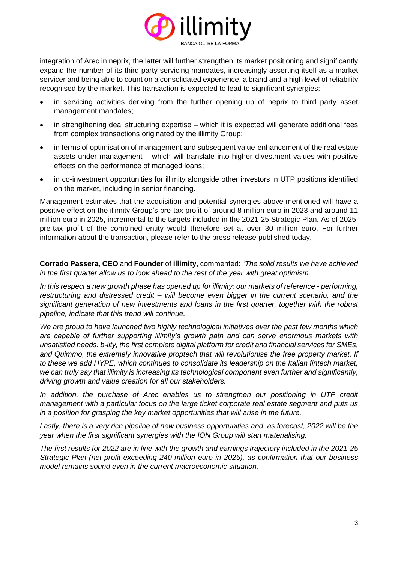

integration of Arec in neprix, the latter will further strengthen its market positioning and significantly expand the number of its third party servicing mandates, increasingly asserting itself as a market servicer and being able to count on a consolidated experience, a brand and a high level of reliability recognised by the market. This transaction is expected to lead to significant synergies:

- in servicing activities deriving from the further opening up of neprix to third party asset management mandates;
- in strengthening deal structuring expertise which it is expected will generate additional fees from complex transactions originated by the illimity Group;
- in terms of optimisation of management and subsequent value-enhancement of the real estate assets under management – which will translate into higher divestment values with positive effects on the performance of managed loans;
- in co-investment opportunities for illimity alongside other investors in UTP positions identified on the market, including in senior financing.

Management estimates that the acquisition and potential synergies above mentioned will have a positive effect on the illimity Group's pre-tax profit of around 8 million euro in 2023 and around 11 million euro in 2025, incremental to the targets included in the 2021-25 Strategic Plan. As of 2025, pre-tax profit of the combined entity would therefore set at over 30 million euro. For further information about the transaction, please refer to the press release published today.

**Corrado Passera**, **CEO** and **Founder** of **illimity**, commented: "*The solid results we have achieved in the first quarter allow us to look ahead to the rest of the year with great optimism.* 

*In this respect a new growth phase has opened up for illimity: our markets of reference - performing, restructuring and distressed credit – will become even bigger in the current scenario, and the significant generation of new investments and loans in the first quarter, together with the robust pipeline, indicate that this trend will continue.*

*We are proud to have launched two highly technological initiatives over the past few months which are capable of further supporting illimity's growth path and can serve enormous markets with unsatisfied needs: b-ilty, the first complete digital platform for credit and financial services for SMEs, and Quimmo, the extremely innovative proptech that will revolutionise the free property market. If to these we add HYPE, which continues to consolidate its leadership on the Italian fintech market, we can truly say that illimity is increasing its technological component even further and significantly, driving growth and value creation for all our stakeholders.*

In addition, the purchase of Arec enables us to strengthen our positioning in UTP credit *management with a particular focus on the large ticket corporate real estate segment and puts us in a position for grasping the key market opportunities that will arise in the future.*

Lastly, there is a very rich pipeline of new business opportunities and, as forecast, 2022 will be the *year when the first significant synergies with the ION Group will start materialising.*

*The first results for 2022 are in line with the growth and earnings trajectory included in the 2021-25 Strategic Plan (net profit exceeding 240 million euro in 2025), as confirmation that our business model remains sound even in the current macroeconomic situation."*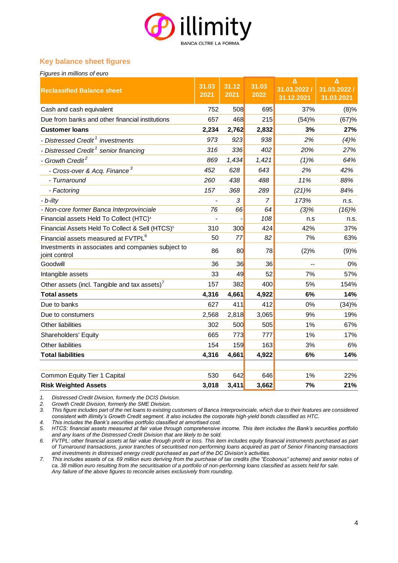

### **Key balance sheet figures**

| Figures in millions of euro                                         |                          |               |                |                                 |                                       |
|---------------------------------------------------------------------|--------------------------|---------------|----------------|---------------------------------|---------------------------------------|
| <b>Reclassified Balance sheet</b>                                   | 31.03<br>2021            | 31.12<br>2021 | 31.03<br>2022  | Δ<br>31.03.2022 /<br>31.12.2021 | $\Delta$<br>31.03.2022/<br>31.03.2021 |
| Cash and cash equivalent                                            | 752                      | 508           | 695            | 37%                             | (8)%                                  |
| Due from banks and other financial institutions                     | 657                      | 468           | 215            | (54)%                           | (67)%                                 |
| <b>Customer loans</b>                                               | 2,234                    | 2,762         | 2,832          | 3%                              | 27%                                   |
| - Distressed Credit <sup>1</sup> investments                        | 973                      | 923           | 938            | 2%                              | (4)%                                  |
| - Distressed Credit <sup>1</sup> senior financing                   | 316                      | 336           | 402            | 20%                             | 27%                                   |
| - Growth Credit <sup>2</sup>                                        | 869                      | 1,434         | 1,421          | (1)%                            | 64%                                   |
| - Cross-over & Acq. Finance <sup>3</sup>                            | 452                      | 628           | 643            | 2%                              | 42%                                   |
| - Turnaround                                                        | 260                      | 438           | 488            | 11%                             | 88%                                   |
| - Factoring                                                         | 157                      | 368           | 289            | $(21)\%$                        | 84%                                   |
| - b-ilty                                                            | $\overline{\phantom{a}}$ | 3             | $\overline{7}$ | 173%                            | n.s.                                  |
| - Non-core former Banca Interprovinciale                            | 76                       | 66            | 64             | (3)%                            | (16)%                                 |
| Financial assets Held To Collect (HTC) <sup>4</sup>                 |                          |               | 108            | n.s                             | n.s.                                  |
| Financial Assets Held To Collect & Sell (HTCS) <sup>5</sup>         | 310                      | 300           | 424            | 42%                             | 37%                                   |
| Financial assets measured at FVTPL <sup>6</sup>                     | 50                       | 77            | 82             | 7%                              | 63%                                   |
| Investments in associates and companies subject to<br>joint control | 86                       | 80            | 78             | (2)%                            | (9)%                                  |
| Goodwill                                                            | 36                       | 36            | 36             |                                 | 0%                                    |
| Intangible assets                                                   | 33                       | 49            | 52             | 7%                              | 57%                                   |
| Other assets (incl. Tangible and tax assets)'                       | 157                      | 382           | 400            | 5%                              | 154%                                  |
| <b>Total assets</b>                                                 | 4,316                    | 4,661         | 4,922          | 6%                              | 14%                                   |
| Due to banks                                                        | 627                      | 411           | 412            | 0%                              | (34)%                                 |
| Due to constumers                                                   | 2,568                    | 2,818         | 3,065          | 9%                              | 19%                                   |
| Other liabilities                                                   | 302                      | 500           | 505            | 1%                              | 67%                                   |
| Shareholders' Equity                                                | 665                      | 773           | 777            | 1%                              | 17%                                   |
| <b>Other liabilities</b>                                            | 154                      | 159           | 163            | 3%                              | 6%                                    |
| <b>Total liabilities</b>                                            | 4,316                    | 4,661         | 4,922          | 6%                              | 14%                                   |
| Common Equity Tier 1 Capital                                        | 530                      | 642           | 646            | 1%                              | 22%                                   |
| <b>Risk Weighted Assets</b>                                         | 3,018                    | 3,411         | 3,662          | 7%                              | 21%                                   |

*1. Distressed Credit Division, formerly the DCIS Division. 2. Growth Credit Division, formerly the SME Division.*

*3. This figure includes part of the net loans to existing customers of Banca Interprovinciale, which due to their features are considered consistent with illimity's Growth Credit segment. It also includes the corporate high-yield bonds classified as HTC.*

*4. This includes the Bank's securities portfolio classified at amortised cost.*

*5. HTCS: financial assets measured at fair value through comprehensive income. This item includes the Bank's securities portfolio and any loans of the Distressed Credit Division that are likely to be sold.*

*6. FVTPL: other financial assets at fair value through profit or loss. This item includes equity financial instruments purchased as part of Turnaround transactions, junior tranches of securitised non-performing loans acquired as part of Senior Financing transactions and investments in distressed energy credit purchased as part of the DC Division's activities.*

*7. This includes assets of ca. 69 million euro deriving from the purchase of tax credits (the "Ecobonus" scheme) and senior notes of ca. 38 million euro resulting from the securitisation of a portfolio of non-performing loans classified as assets held for sale. Any failure of the above figures to reconcile arises exclusively from rounding.*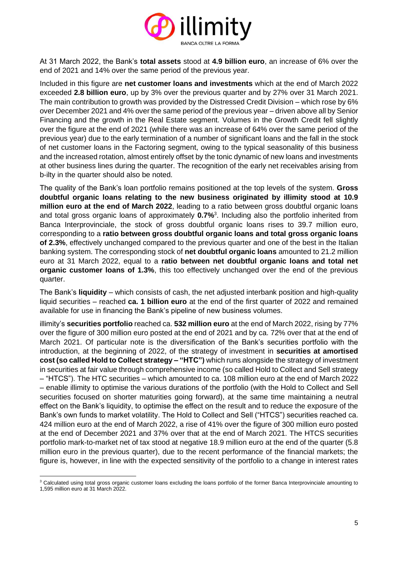

At 31 March 2022, the Bank's **total assets** stood at **4.9 billion euro**, an increase of 6% over the end of 2021 and 14% over the same period of the previous year.

Included in this figure are **net customer loans and investments** which at the end of March 2022 exceeded **2.8 billion euro**, up by 3% over the previous quarter and by 27% over 31 March 2021. The main contribution to growth was provided by the Distressed Credit Division – which rose by 6% over December 2021 and 4% over the same period of the previous year – driven above all by Senior Financing and the growth in the Real Estate segment. Volumes in the Growth Credit fell slightly over the figure at the end of 2021 (while there was an increase of 64% over the same period of the previous year) due to the early termination of a number of significant loans and the fall in the stock of net customer loans in the Factoring segment, owing to the typical seasonality of this business and the increased rotation, almost entirely offset by the tonic dynamic of new loans and investments at other business lines during the quarter. The recognition of the early net receivables arising from b-ilty in the quarter should also be noted.

The quality of the Bank's loan portfolio remains positioned at the top levels of the system. **Gross doubtful organic loans relating to the new business originated by illimity stood at 10.9 million euro at the end of March 2022**, leading to a ratio between gross doubtful organic loans and total gross organic loans of approximately **0.7%**<sup>3</sup> . Including also the portfolio inherited from Banca Interprovinciale, the stock of gross doubtful organic loans rises to 39.7 million euro, corresponding to a **ratio between gross doubtful organic loans and total gross organic loans of 2.3%**, effectively unchanged compared to the previous quarter and one of the best in the Italian banking system. The corresponding stock of **net doubtful organic loans** amounted to 21.2 million euro at 31 March 2022, equal to a **ratio between net doubtful organic loans and total net organic customer loans of 1.3%**, this too effectively unchanged over the end of the previous quarter.

The Bank's **liquidity** – which consists of cash, the net adjusted interbank position and high-quality liquid securities – reached **ca. 1 billion euro** at the end of the first quarter of 2022 and remained available for use in financing the Bank's pipeline of new business volumes.

illimity's **securities portfolio** reached ca. **532 million euro** at the end of March 2022, rising by 77% over the figure of 300 million euro posted at the end of 2021 and by ca. 72% over that at the end of March 2021. Of particular note is the diversification of the Bank's securities portfolio with the introduction, at the beginning of 2022, of the strategy of investment in **securities at amortised cost (so called Hold to Collect strategy – "HTC")** which runs alongside the strategy of investment in securities at fair value through comprehensive income (so called Hold to Collect and Sell strategy – "HTCS"). The HTC securities – which amounted to ca. 108 million euro at the end of March 2022 – enable illimity to optimise the various durations of the portfolio (with the Hold to Collect and Sell securities focused on shorter maturities going forward), at the same time maintaining a neutral effect on the Bank's liquidity, to optimise the effect on the result and to reduce the exposure of the Bank's own funds to market volatility. The Hold to Collect and Sell ("HTCS") securities reached ca. 424 million euro at the end of March 2022, a rise of 41% over the figure of 300 million euro posted at the end of December 2021 and 37% over that at the end of March 2021. The HTCS securities portfolio mark-to-market net of tax stood at negative 18.9 million euro at the end of the quarter (5.8 million euro in the previous quarter), due to the recent performance of the financial markets; the figure is, however, in line with the expected sensitivity of the portfolio to a change in interest rates

<sup>&</sup>lt;sup>3</sup> Calculated using total gross organic customer loans excluding the loans portfolio of the former Banca Interprovinciale amounting to

<sup>1,595</sup> million euro at 31 March 2022.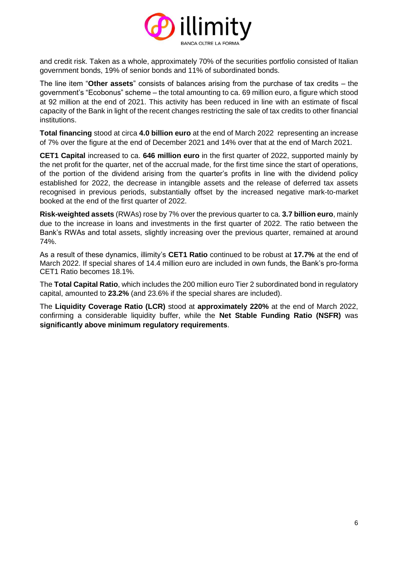

and credit risk. Taken as a whole, approximately 70% of the securities portfolio consisted of Italian government bonds, 19% of senior bonds and 11% of subordinated bonds.

The line item "**Other assets**" consists of balances arising from the purchase of tax credits – the government's "Ecobonus" scheme – the total amounting to ca. 69 million euro, a figure which stood at 92 million at the end of 2021. This activity has been reduced in line with an estimate of fiscal capacity of the Bank in light of the recent changes restricting the sale of tax credits to other financial institutions.

**Total financing** stood at circa **4.0 billion euro** at the end of March 2022 representing an increase of 7% over the figure at the end of December 2021 and 14% over that at the end of March 2021.

**CET1 Capital** increased to ca. **646 million euro** in the first quarter of 2022, supported mainly by the net profit for the quarter, net of the accrual made, for the first time since the start of operations, of the portion of the dividend arising from the quarter's profits in line with the dividend policy established for 2022, the decrease in intangible assets and the release of deferred tax assets recognised in previous periods, substantially offset by the increased negative mark-to-market booked at the end of the first quarter of 2022.

**Risk-weighted assets** (RWAs) rose by 7% over the previous quarter to ca. **3.7 billion euro**, mainly due to the increase in loans and investments in the first quarter of 2022. The ratio between the Bank's RWAs and total assets, slightly increasing over the previous quarter, remained at around 74%.

As a result of these dynamics, illimity's **CET1 Ratio** continued to be robust at **17.7%** at the end of March 2022. If special shares of 14.4 million euro are included in own funds, the Bank's pro-forma CET1 Ratio becomes 18.1%.

The **Total Capital Ratio**, which includes the 200 million euro Tier 2 subordinated bond in regulatory capital, amounted to **23.2%** (and 23.6% if the special shares are included).

The **Liquidity Coverage Ratio (LCR)** stood at **approximately 220%** at the end of March 2022, confirming a considerable liquidity buffer, while the **Net Stable Funding Ratio (NSFR)** was **significantly above minimum regulatory requirements**.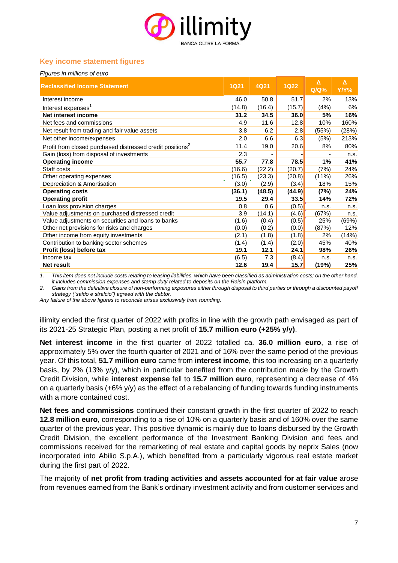

### **Key income statement figures**

| Figures in millions of euro                                           |             |        |             |              |           |
|-----------------------------------------------------------------------|-------------|--------|-------------|--------------|-----------|
| <b>Reclassified Income Statement</b>                                  | <b>1Q21</b> | 4Q21   | <b>1Q22</b> | Δ<br>$Q/Q$ % | Δ<br>Y/Y% |
| Interest income                                                       | 46.0        | 50.8   | 51.7        | 2%           | 13%       |
| Interest expenses <sup>1</sup>                                        | (14.8)      | (16.4) | (15.7)      | (4%)         | 6%        |
| Net interest income                                                   | 31.2        | 34.5   | 36.0        | 5%           | 16%       |
| Net fees and commissions                                              | 4.9         | 11.6   | 12.8        | 10%          | 160%      |
| Net result from trading and fair value assets                         | 3.8         | 6.2    | 2.8         | (55%)        | (28%)     |
| Net other income/expenses                                             | 2.0         | 6.6    | 6.3         | (5%)         | 213%      |
| Profit from closed purchased distressed credit positions <sup>2</sup> | 11.4        | 19.0   | 20.6        | 8%           | 80%       |
| Gain (loss) from disposal of investments                              | 2.3         |        |             |              | n.s.      |
| <b>Operating income</b>                                               | 55.7        | 77.8   | 78.5        | 1%           | 41%       |
| Staff costs                                                           | (16.6)      | (22.2) | (20.7)      | (7%)         | 24%       |
| Other operating expenses                                              | (16.5)      | (23.3) | (20.8)      | $(11\%)$     | 26%       |
| Depreciation & Amortisation                                           | (3.0)       | (2.9)  | (3.4)       | 18%          | 15%       |
| <b>Operating costs</b>                                                | (36.1)      | (48.5) | (44.9)      | (7%)         | 24%       |
| <b>Operating profit</b>                                               | 19.5        | 29.4   | 33.5        | 14%          | 72%       |
| Loan loss provision charges                                           | 0.8         | 0.6    | (0.5)       | n.s.         | n.s.      |
| Value adjustments on purchased distressed credit                      | 3.9         | (14.1) | (4.6)       | (67%)        | n.s.      |
| Value adjustments on securities and loans to banks                    | (1.6)       | (0.4)  | (0.5)       | 25%          | (69%)     |
| Other net provisions for risks and charges                            | (0.0)       | (0.2)  | (0.0)       | (87%)        | 12%       |
| Other income from equity investments                                  | (2.1)       | (1.8)  | (1.8)       | 2%           | (14%)     |
| Contribution to banking sector schemes                                | (1.4)       | (1.4)  | (2.0)       | 45%          | 40%       |
| Profit (loss) before tax                                              | 19.1        | 12.1   | 24.1        | 98%          | 26%       |
| Income tax                                                            | (6.5)       | 7.3    | (8.4)       | n.s.         | n.s.      |
| Net result                                                            | 12.6        | 19.4   | 15.7        | (19%)        | 25%       |

*1. This item does not include costs relating to leasing liabilities, which have been classified as administration costs; on the other hand, it includes commission expenses and stamp duty related to deposits on the Raisin platform.*

*2. Gains from the definitive closure of non-performing exposures either through disposal to third parties or through a discounted payoff strategy ("saldo e stralcio") agreed with the debtor.* 

*Any failure of the above figures to reconcile arises exclusively from rounding.*

illimity ended the first quarter of 2022 with profits in line with the growth path envisaged as part of its 2021-25 Strategic Plan, posting a net profit of **15.7 million euro (+25% y/y)**.

**Net interest income** in the first quarter of 2022 totalled ca. **36.0 million euro**, a rise of approximately 5% over the fourth quarter of 2021 and of 16% over the same period of the previous year. Of this total, **51.7 million euro** came from **interest income**, this too increasing on a quarterly basis, by 2% (13% y/y), which in particular benefited from the contribution made by the Growth Credit Division, while **interest expense** fell to **15.7 million euro**, representing a decrease of 4% on a quarterly basis (+6% y/y) as the effect of a rebalancing of funding towards funding instruments with a more contained cost.

**Net fees and commissions** continued their constant growth in the first quarter of 2022 to reach **12.8 million euro**, corresponding to a rise of 10% on a quarterly basis and of 160% over the same quarter of the previous year. This positive dynamic is mainly due to loans disbursed by the Growth Credit Division, the excellent performance of the Investment Banking Division and fees and commissions received for the remarketing of real estate and capital goods by neprix Sales (now incorporated into Abilio S.p.A.), which benefited from a particularly vigorous real estate market during the first part of 2022.

The majority of **net profit from trading activities and assets accounted for at fair value** arose from revenues earned from the Bank's ordinary investment activity and from customer services and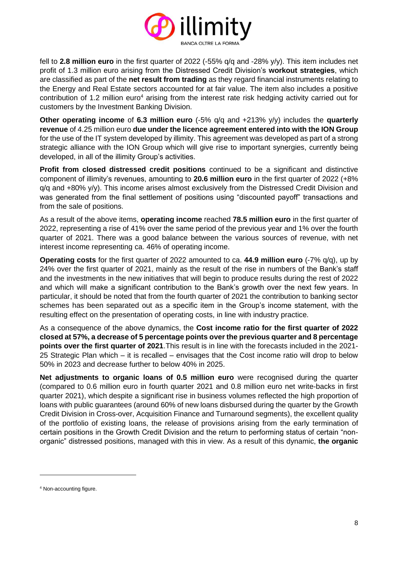

fell to **2.8 million euro** in the first quarter of 2022 (-55% q/q and -28% y/y). This item includes net profit of 1.3 million euro arising from the Distressed Credit Division's **workout strategies**, which are classified as part of the **net result from trading** as they regard financial instruments relating to the Energy and Real Estate sectors accounted for at fair value. The item also includes a positive contribution of 1.2 million euro<sup>4</sup> arising from the interest rate risk hedging activity carried out for customers by the Investment Banking Division.

**Other operating income** of **6.3 million euro** (-5% q/q and +213% y/y) includes the **quarterly revenue** of 4.25 million euro **due under the licence agreement entered into with the ION Group** for the use of the IT system developed by illimity. This agreement was developed as part of a strong strategic alliance with the ION Group which will give rise to important synergies, currently being developed, in all of the illimity Group's activities.

**Profit from closed distressed credit positions** continued to be a significant and distinctive component of illimity's revenues, amounting to **20.6 million euro** in the first quarter of 2022 (+8% q/q and +80% y/y). This income arises almost exclusively from the Distressed Credit Division and was generated from the final settlement of positions using "discounted payoff" transactions and from the sale of positions.

As a result of the above items, **operating income** reached **78.5 million euro** in the first quarter of 2022, representing a rise of 41% over the same period of the previous year and 1% over the fourth quarter of 2021. There was a good balance between the various sources of revenue, with net interest income representing ca. 46% of operating income.

**Operating costs** for the first quarter of 2022 amounted to ca. **44.9 million euro** (-7% q/q), up by 24% over the first quarter of 2021, mainly as the result of the rise in numbers of the Bank's staff and the investments in the new initiatives that will begin to produce results during the rest of 2022 and which will make a significant contribution to the Bank's growth over the next few years. In particular, it should be noted that from the fourth quarter of 2021 the contribution to banking sector schemes has been separated out as a specific item in the Group's income statement, with the resulting effect on the presentation of operating costs, in line with industry practice.

As a consequence of the above dynamics, the **Cost income ratio for the first quarter of 2022 closed at 57%, a decrease of 5 percentage points over the previous quarter and 8 percentage points over the first quarter of 2021**.This result is in line with the forecasts included in the 2021- 25 Strategic Plan which – it is recalled – envisages that the Cost income ratio will drop to below 50% in 2023 and decrease further to below 40% in 2025.

**Net adjustments to organic loans of 0.5 million euro** were recognised during the quarter (compared to 0.6 million euro in fourth quarter 2021 and 0.8 million euro net write-backs in first quarter 2021), which despite a significant rise in business volumes reflected the high proportion of loans with public guarantees (around 60% of new loans disbursed during the quarter by the Growth Credit Division in Cross-over, Acquisition Finance and Turnaround segments), the excellent quality of the portfolio of existing loans, the release of provisions arising from the early termination of certain positions in the Growth Credit Division and the return to performing status of certain "nonorganic" distressed positions, managed with this in view. As a result of this dynamic, **the organic** 

<sup>4</sup> Non-accounting figure.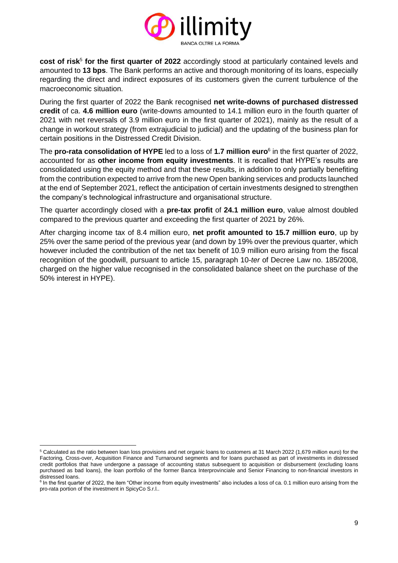

**cost of risk<sup>5</sup> for the first quarter of 2022** accordingly stood at particularly contained levels and amounted to **13 bps**. The Bank performs an active and thorough monitoring of its loans, especially regarding the direct and indirect exposures of its customers given the current turbulence of the macroeconomic situation.

During the first quarter of 2022 the Bank recognised **net write-downs of purchased distressed credit** of ca. **4.6 million euro** (write-downs amounted to 14.1 million euro in the fourth quarter of 2021 with net reversals of 3.9 million euro in the first quarter of 2021), mainly as the result of a change in workout strategy (from extrajudicial to judicial) and the updating of the business plan for certain positions in the Distressed Credit Division.

The **pro-rata consolidation of HYPE** led to a loss of **1.7 million euro**<sup>6</sup> in the first quarter of 2022, accounted for as **other income from equity investments**. It is recalled that HYPE's results are consolidated using the equity method and that these results, in addition to only partially benefiting from the contribution expected to arrive from the new Open banking services and products launched at the end of September 2021, reflect the anticipation of certain investments designed to strengthen the company's technological infrastructure and organisational structure.

The quarter accordingly closed with a **pre-tax profit** of **24.1 million euro**, value almost doubled compared to the previous quarter and exceeding the first quarter of 2021 by 26%.

After charging income tax of 8.4 million euro, **net profit amounted to 15.7 million euro**, up by 25% over the same period of the previous year (and down by 19% over the previous quarter, which however included the contribution of the net tax benefit of 10.9 million euro arising from the fiscal recognition of the goodwill, pursuant to article 15, paragraph 10-*ter* of Decree Law no. 185/2008, charged on the higher value recognised in the consolidated balance sheet on the purchase of the 50% interest in HYPE).

<sup>&</sup>lt;sup>5</sup> Calculated as the ratio between loan loss provisions and net organic loans to customers at 31 March 2022 (1,679 million euro) for the Factoring, Cross-over, Acquisition Finance and Turnaround segments and for loans purchased as part of investments in distressed credit portfolios that have undergone a passage of accounting status subsequent to acquisition or disbursement (excluding loans purchased as bad loans), the loan portfolio of the former Banca Interprovinciale and Senior Financing to non-financial investors in distressed loans.

<sup>&</sup>lt;sup>6</sup> In the first quarter of 2022, the item "Other income from equity investments" also includes a loss of ca. 0.1 million euro arising from the pro-rata portion of the investment in SpicyCo S.r.l..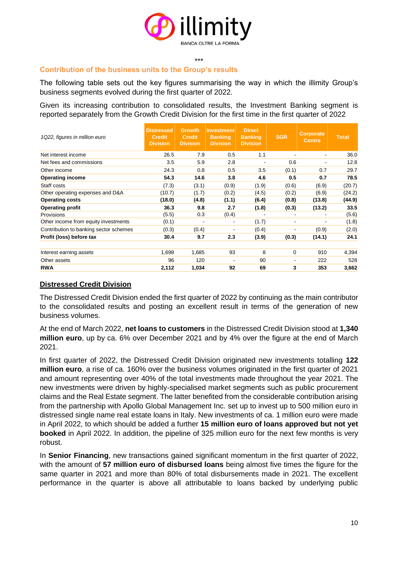

#### \*\*\* **Contribution of the business units to the Group's results**

The following table sets out the key figures summarising the way in which the illimity Group's business segments evolved during the first quarter of 2022.

Given its increasing contribution to consolidated results, the Investment Banking segment is reported separately from the Growth Credit Division for the first time in the first quarter of 2022

| 1Q22, figures in million euro          | <b>Distressed</b><br><b>Credit</b><br><b>Division</b> | <b>Growth</b><br><b>Credit</b><br><b>Division</b> | Investment<br><b>Banking</b><br><b>Division</b> | <b>Direct</b><br><b>Banking</b><br><b>Division</b> | <b>SGR</b>               | <b>Corporate</b><br><b>Centre</b> | <b>Total</b> |
|----------------------------------------|-------------------------------------------------------|---------------------------------------------------|-------------------------------------------------|----------------------------------------------------|--------------------------|-----------------------------------|--------------|
| Net interest income                    | 26.5                                                  | 7.9                                               | 0.5                                             | 1.1                                                |                          | $\overline{\phantom{a}}$          | 36.0         |
| Net fees and commissions               | 3.5                                                   | 5.9                                               | 2.8                                             | $\overline{\phantom{0}}$                           | 0.6                      | $\overline{\phantom{a}}$          | 12.8         |
| Other income                           | 24.3                                                  | 0.8                                               | 0.5                                             | 3.5                                                | (0.1)                    | 0.7                               | 29.7         |
| <b>Operating income</b>                | 54.3                                                  | 14.6                                              | 3.8                                             | 4.6                                                | 0.5                      | 0.7                               | 78.5         |
| Staff costs                            | (7.3)                                                 | (3.1)                                             | (0.9)                                           | (1.9)                                              | (0.6)                    | (6.9)                             | (20.7)       |
| Other operating expenses and D&A       | (10.7)                                                | (1.7)                                             | (0.2)                                           | (4.5)                                              | (0.2)                    | (6.9)                             | (24.2)       |
| <b>Operating costs</b>                 | (18.0)                                                | (4.8)                                             | (1.1)                                           | (6.4)                                              | (0.8)                    | (13.8)                            | (44.9)       |
| <b>Operating profit</b>                | 36.3                                                  | 9.8                                               | 2.7                                             | (1.8)                                              | (0.3)                    | (13.2)                            | 33.5         |
| Provisions                             | (5.5)                                                 | 0.3                                               | (0.4)                                           | $\overline{\phantom{a}}$                           | $\overline{\phantom{a}}$ | $\overline{\phantom{a}}$          | (5.6)        |
| Other income from equity investments   | (0.1)                                                 |                                                   |                                                 | (1.7)                                              |                          |                                   | (1.8)        |
| Contribution to banking sector schemes | (0.3)                                                 | (0.4)                                             |                                                 | (0.4)                                              |                          | (0.9)                             | (2.0)        |
| Profit (loss) before tax               | 30.4                                                  | 9.7                                               | 2.3                                             | (3.9)                                              | (0.3)                    | (14.1)                            | 24.1         |
| Interest earning assets                | 1,698                                                 | 1,685                                             | 93                                              | 8                                                  | 0                        | 910                               | 4,394        |
| Other assets                           | 96                                                    | 120                                               |                                                 | 90                                                 |                          | 222                               | 528          |
| <b>RWA</b>                             | 2,112                                                 | 1,034                                             | 92                                              | 69                                                 | 3                        | 353                               | 3,662        |

#### **Distressed Credit Division**

The Distressed Credit Division ended the first quarter of 2022 by continuing as the main contributor to the consolidated results and posting an excellent result in terms of the generation of new business volumes.

At the end of March 2022, **net loans to customers** in the Distressed Credit Division stood at **1,340 million euro**, up by ca. 6% over December 2021 and by 4% over the figure at the end of March 2021.

In first quarter of 2022, the Distressed Credit Division originated new investments totalling **122 million euro**, a rise of ca. 160% over the business volumes originated in the first quarter of 2021 and amount representing over 40% of the total investments made throughout the year 2021. The new investments were driven by highly-specialised market segments such as public procurement claims and the Real Estate segment. The latter benefited from the considerable contribution arising from the partnership with Apollo Global Management Inc. set up to invest up to 500 million euro in distressed single name real estate loans in Italy. New investments of ca. 1 million euro were made in April 2022, to which should be added a further **15 million euro of loans approved but not yet booked** in April 2022. In addition, the pipeline of 325 million euro for the next few months is very robust.

In **Senior Financing**, new transactions gained significant momentum in the first quarter of 2022, with the amount of **57 million euro of disbursed loans** being almost five times the figure for the same quarter in 2021 and more than 80% of total disbursements made in 2021. The excellent performance in the quarter is above all attributable to loans backed by underlying public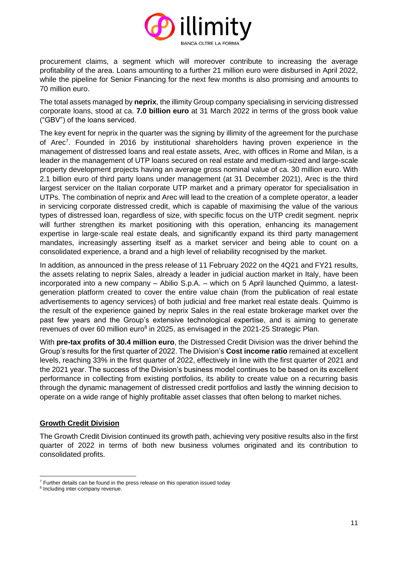

procurement claims, a segment which will moreover contribute to increasing the average profitability of the area. Loans amounting to a further 21 million euro were disbursed in April 2022, while the pipeline for Senior Financing for the next few months is also promising and amounts to 70 million euro.

The total assets managed by **neprix**, the illimity Group company specialising in servicing distressed corporate loans, stood at ca. **7.0 billion euro** at 31 March 2022 in terms of the gross book value ("GBV") of the loans serviced.

The key event for neprix in the quarter was the signing by illimity of the agreement for the purchase of Arec<sup>7</sup>. Founded in 2016 by institutional shareholders having proven experience in the management of distressed loans and real estate assets, Arec, with offices in Rome and Milan, is a leader in the management of UTP loans secured on real estate and medium-sized and large-scale property development projects having an average gross nominal value of ca. 30 million euro. With 2.1 billion euro of third party loans under management (at 31 December 2021), Arec is the third largest servicer on the Italian corporate UTP market and a primary operator for specialisation in UTPs. The combination of neprix and Arec will lead to the creation of a complete operator, a leader in servicing corporate distressed credit, which is capable of maximising the value of the various types of distressed loan, regardless of size, with specific focus on the UTP credit segment. neprix will further strengthen its market positioning with this operation, enhancing its management expertise in large-scale real estate deals, and significantly expand its third party management mandates, increasingly asserting itself as a market servicer and being able to count on a consolidated experience, a brand and a high level of reliability recognised by the market.

In addition, as announced in the press release of 11 February 2022 on the 4Q21 and FY21 results, the assets relating to neprix Sales, already a leader in judicial auction market in Italy, have been incorporated into a new company – Abilio S.p.A. – which on 5 April launched Quimmo, a latestgeneration platform created to cover the entire value chain (from the publication of real estate advertisements to agency services) of both judicial and free market real estate deals. Quimmo is the result of the experience gained by neprix Sales in the real estate brokerage market over the past few years and the Group's extensive technological expertise, and is aiming to generate revenues of over 60 million euro<sup>8</sup> in 2025, as envisaged in the 2021-25 Strategic Plan.

With **pre-tax profits of 30.4 million euro**, the Distressed Credit Division was the driver behind the Group's results for the first quarter of 2022. The Division's **Cost income ratio** remained at excellent levels, reaching 33% in the first quarter of 2022, effectively in line with the first quarter of 2021 and the 2021 year. The success of the Division's business model continues to be based on its excellent performance in collecting from existing portfolios, its ability to create value on a recurring basis through the dynamic management of distressed credit portfolios and lastly the winning decision to operate on a wide range of highly profitable asset classes that often belong to market niches.

#### **Growth Credit Division**

The Growth Credit Division continued its growth path, achieving very positive results also in the first quarter of 2022 in terms of both new business volumes originated and its contribution to consolidated profits.

 $7$  Further details can be found in the press release on this operation issued today

<sup>&</sup>lt;sup>8</sup> Including inter-company revenue.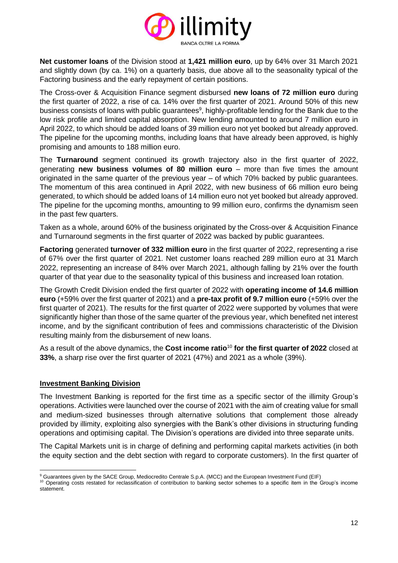

**Net customer loans** of the Division stood at **1,421 million euro**, up by 64% over 31 March 2021 and slightly down (by ca. 1%) on a quarterly basis, due above all to the seasonality typical of the Factoring business and the early repayment of certain positions.

The Cross-over & Acquisition Finance segment disbursed **new loans of 72 million euro** during the first quarter of 2022, a rise of ca. 14% over the first quarter of 2021. Around 50% of this new business consists of loans with public guarantees<sup>9</sup>, highly-profitable lending for the Bank due to the low risk profile and limited capital absorption. New lending amounted to around 7 million euro in April 2022, to which should be added loans of 39 million euro not yet booked but already approved. The pipeline for the upcoming months, including loans that have already been approved, is highly promising and amounts to 188 million euro.

The **Turnaround** segment continued its growth trajectory also in the first quarter of 2022, generating **new business volumes of 80 million euro** – more than five times the amount originated in the same quarter of the previous year – of which 70% backed by public guarantees. The momentum of this area continued in April 2022, with new business of 66 million euro being generated, to which should be added loans of 14 million euro not yet booked but already approved. The pipeline for the upcoming months, amounting to 99 million euro, confirms the dynamism seen in the past few quarters.

Taken as a whole, around 60% of the business originated by the Cross-over & Acquisition Finance and Turnaround segments in the first quarter of 2022 was backed by public guarantees.

**Factoring** generated **turnover of 332 million euro** in the first quarter of 2022, representing a rise of 67% over the first quarter of 2021. Net customer loans reached 289 million euro at 31 March 2022, representing an increase of 84% over March 2021, although falling by 21% over the fourth quarter of that year due to the seasonality typical of this business and increased loan rotation.

The Growth Credit Division ended the first quarter of 2022 with **operating income of 14.6 million euro** (+59% over the first quarter of 2021) and a **pre-tax profit of 9.7 million euro** (+59% over the first quarter of 2021). The results for the first quarter of 2022 were supported by volumes that were significantly higher than those of the same quarter of the previous year, which benefited net interest income, and by the significant contribution of fees and commissions characteristic of the Division resulting mainly from the disbursement of new loans.

As a result of the above dynamics, the **Cost income ratio**<sup>10</sup> **for the first quarter of 2022** closed at **33%**, a sharp rise over the first quarter of 2021 (47%) and 2021 as a whole (39%).

#### **Investment Banking Division**

The Investment Banking is reported for the first time as a specific sector of the illimity Group's operations. Activities were launched over the course of 2021 with the aim of creating value for small and medium-sized businesses through alternative solutions that complement those already provided by illimity, exploiting also synergies with the Bank's other divisions in structuring funding operations and optimising capital. The Division's operations are divided into three separate units.

The Capital Markets unit is in charge of defining and performing capital markets activities (in both the equity section and the debt section with regard to corporate customers). In the first quarter of

<sup>&</sup>lt;sup>9</sup> Guarantees given by the SACE Group, Mediocredito Centrale S.p.A. (MCC) and the European Investment Fund (EIF)

<sup>&</sup>lt;sup>10</sup> Operating costs restated for reclassification of contribution to banking sector schemes to a specific item in the Group's income statement.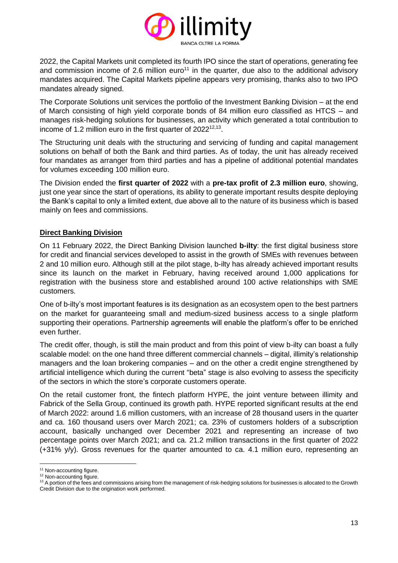

2022, the Capital Markets unit completed its fourth IPO since the start of operations, generating fee and commission income of 2.6 million euro<sup>11</sup> in the quarter, due also to the additional advisory mandates acquired. The Capital Markets pipeline appears very promising, thanks also to two IPO mandates already signed.

The Corporate Solutions unit services the portfolio of the Investment Banking Division – at the end of March consisting of high yield corporate bonds of 84 million euro classified as HTCS – and manages risk-hedging solutions for businesses, an activity which generated a total contribution to income of 1.2 million euro in the first quarter of  $2022^{12,13}$ .

The Structuring unit deals with the structuring and servicing of funding and capital management solutions on behalf of both the Bank and third parties. As of today, the unit has already received four mandates as arranger from third parties and has a pipeline of additional potential mandates for volumes exceeding 100 million euro.

The Division ended the **first quarter of 2022** with a **pre-tax profit of 2.3 million euro**, showing, just one year since the start of operations, its ability to generate important results despite deploying the Bank's capital to only a limited extent, due above all to the nature of its business which is based mainly on fees and commissions.

### **Direct Banking Division**

On 11 February 2022, the Direct Banking Division launched **b-ilty**: the first digital business store for credit and financial services developed to assist in the growth of SMEs with revenues between 2 and 10 million euro. Although still at the pilot stage, b-ilty has already achieved important results since its launch on the market in February, having received around 1,000 applications for registration with the business store and established around 100 active relationships with SME customers.

One of b-ilty's most important features is its designation as an ecosystem open to the best partners on the market for guaranteeing small and medium-sized business access to a single platform supporting their operations. Partnership agreements will enable the platform's offer to be enriched even further.

The credit offer, though, is still the main product and from this point of view b-ilty can boast a fully scalable model: on the one hand three different commercial channels – digital, illimity's relationship managers and the loan brokering companies – and on the other a credit engine strengthened by artificial intelligence which during the current "beta" stage is also evolving to assess the specificity of the sectors in which the store's corporate customers operate.

On the retail customer front, the fintech platform HYPE, the joint venture between illimity and Fabrick of the Sella Group, continued its growth path. HYPE reported significant results at the end of March 2022: around 1.6 million customers, with an increase of 28 thousand users in the quarter and ca. 160 thousand users over March 2021; ca. 23% of customers holders of a subscription account, basically unchanged over December 2021 and representing an increase of two percentage points over March 2021; and ca. 21.2 million transactions in the first quarter of 2022 (+31% y/y). Gross revenues for the quarter amounted to ca. 4.1 million euro, representing an

<sup>&</sup>lt;sup>11</sup> Non-accounting figure.

<sup>&</sup>lt;sup>12</sup> Non-accounting figure.

<sup>13</sup> A portion of the fees and commissions arising from the management of risk-hedging solutions for businesses is allocated to the Growth Credit Division due to the origination work performed.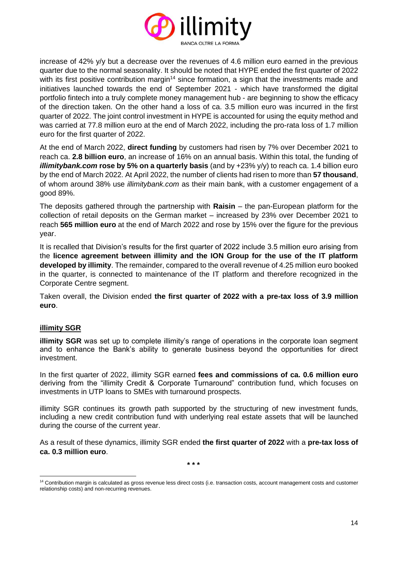

increase of 42% y/y but a decrease over the revenues of 4.6 million euro earned in the previous quarter due to the normal seasonality. It should be noted that HYPE ended the first quarter of 2022 with its first positive contribution margin<sup>14</sup> since formation, a sign that the investments made and initiatives launched towards the end of September 2021 - which have transformed the digital portfolio fintech into a truly complete money management hub - are beginning to show the efficacy of the direction taken. On the other hand a loss of ca. 3.5 million euro was incurred in the first quarter of 2022. The joint control investment in HYPE is accounted for using the equity method and was carried at 77.8 million euro at the end of March 2022, including the pro-rata loss of 1.7 million euro for the first quarter of 2022.

At the end of March 2022, **direct funding** by customers had risen by 7% over December 2021 to reach ca. **2.8 billion euro**, an increase of 16% on an annual basis. Within this total, the funding of *illimitybank.com* **rose by 5% on a quarterly basis** (and by +23% y/y) to reach ca. 1.4 billion euro by the end of March 2022. At April 2022, the number of clients had risen to more than **57 thousand**, of whom around 38% use *illimitybank.com* as their main bank, with a customer engagement of a good 89%.

The deposits gathered through the partnership with **Raisin** – the pan-European platform for the collection of retail deposits on the German market – increased by 23% over December 2021 to reach **565 million euro** at the end of March 2022 and rose by 15% over the figure for the previous year.

It is recalled that Division's results for the first quarter of 2022 include 3.5 million euro arising from the **licence agreement between illimity and the ION Group for the use of the IT platform developed by illimity**. The remainder, compared to the overall revenue of 4.25 million euro booked in the quarter, is connected to maintenance of the IT platform and therefore recognized in the Corporate Centre segment.

Taken overall, the Division ended **the first quarter of 2022 with a pre-tax loss of 3.9 million euro**.

#### **illimity SGR**

**illimity SGR** was set up to complete illimity's range of operations in the corporate loan segment and to enhance the Bank's ability to generate business beyond the opportunities for direct investment.

In the first quarter of 2022, illimity SGR earned **fees and commissions of ca. 0.6 million euro**  deriving from the "illimity Credit & Corporate Turnaround" contribution fund, which focuses on investments in UTP loans to SMEs with turnaround prospects.

illimity SGR continues its growth path supported by the structuring of new investment funds, including a new credit contribution fund with underlying real estate assets that will be launched during the course of the current year.

As a result of these dynamics, illimity SGR ended **the first quarter of 2022** with a **pre-tax loss of ca. 0.3 million euro**.

**\* \* \***

<sup>&</sup>lt;sup>14</sup> Contribution margin is calculated as gross revenue less direct costs (i.e. transaction costs, account management costs and customer relationship costs) and non-recurring revenues.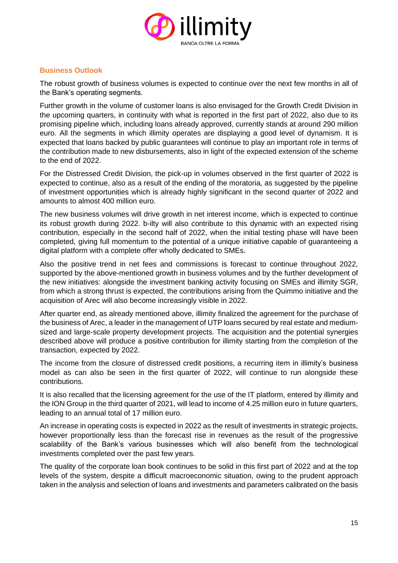

### **Business Outlook**

The robust growth of business volumes is expected to continue over the next few months in all of the Bank's operating segments.

Further growth in the volume of customer loans is also envisaged for the Growth Credit Division in the upcoming quarters, in continuity with what is reported in the first part of 2022, also due to its promising pipeline which, including loans already approved, currently stands at around 290 million euro. All the segments in which illimity operates are displaying a good level of dynamism. It is expected that loans backed by public guarantees will continue to play an important role in terms of the contribution made to new disbursements, also in light of the expected extension of the scheme to the end of 2022.

For the Distressed Credit Division, the pick-up in volumes observed in the first quarter of 2022 is expected to continue, also as a result of the ending of the moratoria, as suggested by the pipeline of investment opportunities which is already highly significant in the second quarter of 2022 and amounts to almost 400 million euro.

The new business volumes will drive growth in net interest income, which is expected to continue its robust growth during 2022. b-ilty will also contribute to this dynamic with an expected rising contribution, especially in the second half of 2022, when the initial testing phase will have been completed, giving full momentum to the potential of a unique initiative capable of guaranteeing a digital platform with a complete offer wholly dedicated to SMEs.

Also the positive trend in net fees and commissions is forecast to continue throughout 2022, supported by the above-mentioned growth in business volumes and by the further development of the new initiatives: alongside the investment banking activity focusing on SMEs and illimity SGR, from which a strong thrust is expected, the contributions arising from the Quimmo initiative and the acquisition of Arec will also become increasingly visible in 2022.

After quarter end, as already mentioned above, illimity finalized the agreement for the purchase of the business of Arec, a leader in the management of UTP loans secured by real estate and mediumsized and large-scale property development projects. The acquisition and the potential synergies described above will produce a positive contribution for illimity starting from the completion of the transaction, expected by 2022.

The income from the closure of distressed credit positions, a recurring item in illimity's business model as can also be seen in the first quarter of 2022, will continue to run alongside these contributions.

It is also recalled that the licensing agreement for the use of the IT platform, entered by illimity and the ION Group in the third quarter of 2021, will lead to income of 4.25 million euro in future quarters, leading to an annual total of 17 million euro.

An increase in operating costs is expected in 2022 as the result of investments in strategic projects, however proportionally less than the forecast rise in revenues as the result of the progressive scalability of the Bank's various businesses which will also benefit from the technological investments completed over the past few years.

The quality of the corporate loan book continues to be solid in this first part of 2022 and at the top levels of the system, despite a difficult macroeconomic situation, owing to the prudent approach taken in the analysis and selection of loans and investments and parameters calibrated on the basis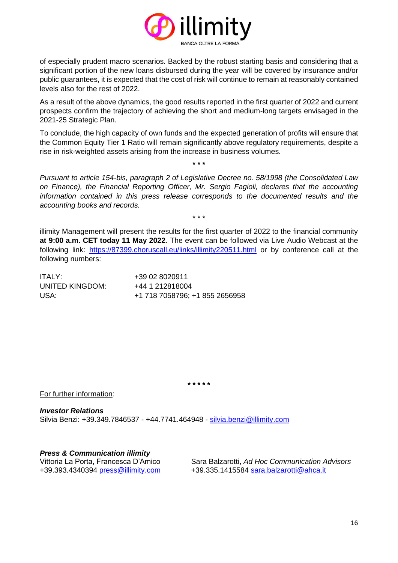

of especially prudent macro scenarios. Backed by the robust starting basis and considering that a significant portion of the new loans disbursed during the year will be covered by insurance and/or public guarantees, it is expected that the cost of risk will continue to remain at reasonably contained levels also for the rest of 2022.

As a result of the above dynamics, the good results reported in the first quarter of 2022 and current prospects confirm the trajectory of achieving the short and medium-long targets envisaged in the 2021-25 Strategic Plan.

To conclude, the high capacity of own funds and the expected generation of profits will ensure that the Common Equity Tier 1 Ratio will remain significantly above regulatory requirements, despite a rise in risk-weighted assets arising from the increase in business volumes.

**\* \* \***

*Pursuant to article 154-bis, paragraph 2 of Legislative Decree no. 58/1998 (the Consolidated Law on Finance), the Financial Reporting Officer, Mr. Sergio Fagioli, declares that the accounting information contained in this press release corresponds to the documented results and the accounting books and records.*

\* \* \*

illimity Management will present the results for the first quarter of 2022 to the financial community **at 9:00 a.m. CET today 11 May 2022**. The event can be followed via Live Audio Webcast at the following link: <https://87399.choruscall.eu/links/illimity220511.html> or by conference call at the following numbers:

| ITALY:          | +39 02 8020911                 |
|-----------------|--------------------------------|
| UNITED KINGDOM: | +44 1 212818004                |
| USA:            | +1 718 7058796; +1 855 2656958 |

**\* \* \* \* \***

For further information:

*Investor Relations* Silvia Benzi: +39.349.7846537 - +44.7741.464948 - [silvia.benzi@illimity.com](mailto:silvia.benzi@illimity.com)

*Press & Communication illimity*

Vittoria La Porta, Francesca D'Amico Sara Balzarotti, *Ad Hoc Communication Advisors* +39.393.4340394 [press@illimity.com](mailto:press@illimity.com) +39.335.1415584 [sara.balzarotti@ahca.it](mailto:sara.balzarotti@ahca.it)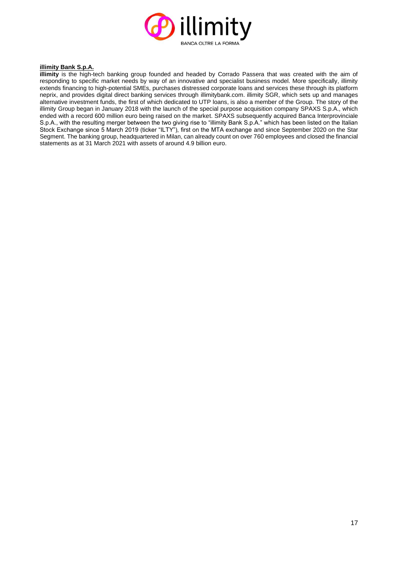

#### **illimity Bank S.p.A.**

**illimity** is the high-tech banking group founded and headed by Corrado Passera that was created with the aim of responding to specific market needs by way of an innovative and specialist business model. More specifically, illimity extends financing to high-potential SMEs, purchases distressed corporate loans and services these through its platform neprix, and provides digital direct banking services through illimitybank.com. illimity SGR, which sets up and manages alternative investment funds, the first of which dedicated to UTP loans, is also a member of the Group. The story of the illimity Group began in January 2018 with the launch of the special purpose acquisition company SPAXS S.p.A., which ended with a record 600 million euro being raised on the market. SPAXS subsequently acquired Banca Interprovinciale S.p.A., with the resulting merger between the two giving rise to "illimity Bank S.p.A." which has been listed on the Italian Stock Exchange since 5 March 2019 (ticker "ILTY"), first on the MTA exchange and since September 2020 on the Star Segment. The banking group, headquartered in Milan, can already count on over 760 employees and closed the financial statements as at 31 March 2021 with assets of around 4.9 billion euro.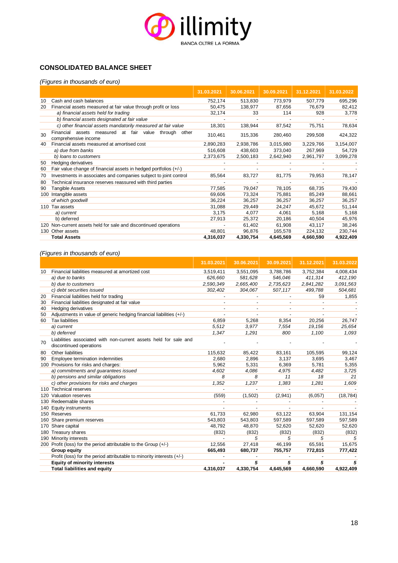

#### **CONSOLIDATED BALANCE SHEET**

#### *(Figures in thousands of euro)*

|     |                                                                                  | 31.03.2021 | 30.06.2021 | 30.09.2021 | 31.12.2021 | 31.03.2022 |
|-----|----------------------------------------------------------------------------------|------------|------------|------------|------------|------------|
| 10  | Cash and cash balances                                                           | 752,174    | 513,830    | 773,979    | 507,779    | 695,296    |
| 20  | Financial assets measured at fair value through profit or loss                   | 50,475     | 138,977    | 87,656     | 76,679     | 82,412     |
|     | a) financial assets held for trading                                             | 32,174     | 33         | 114        | 928        | 3,778      |
|     | b) financial assets designated at fair value                                     |            |            |            |            |            |
|     | c) other financial assets mandatorily measured at fair value                     | 18,301     | 138,944    | 87,542     | 75,751     | 78,634     |
| 30  | Financial assets measured at fair value through<br>other<br>comprehensive income | 310,461    | 315,336    | 280,460    | 299,508    | 424,322    |
| 40  | Financial assets measured at amortised cost                                      | 2,890,283  | 2,938,786  | 3,015,980  | 3,229,766  | 3,154,007  |
|     | a) due from banks                                                                | 516,608    | 438.603    | 373,040    | 267,969    | 54,729     |
|     | b) loans to customers                                                            | 2,373,675  | 2,500,183  | 2,642,940  | 2,961,797  | 3,099,278  |
| 50  | Hedging derivatives                                                              |            |            |            |            |            |
| 60  | Fair value change of financial assets in hedged portfolios (+/-)                 |            |            |            |            |            |
| 70  | Investments in associates and companies subject to joint control                 | 85,564     | 83,727     | 81,775     | 79,953     | 78,147     |
| 80  | Technical insurance reserves reassured with third parties                        |            |            |            |            |            |
| 90  | Tangible Assets                                                                  | 77,585     | 79,047     | 78,105     | 68,735     | 79,430     |
| 100 | Intangible assets                                                                | 69,606     | 73,324     | 75,881     | 85,249     | 88,661     |
|     | of which goodwill                                                                | 36,224     | 36,257     | 36,257     | 36,257     | 36,257     |
| 110 | Tax assets                                                                       | 31,088     | 29,449     | 24,247     | 45,672     | 51,144     |
|     | a) current                                                                       | 3,175      | 4,077      | 4,061      | 5,168      | 5,168      |
|     | b) deferred                                                                      | 27,913     | 25,372     | 20,186     | 40,504     | 45,976     |
|     | 120 Non-current assets held for sale and discontinued operations                 |            | 61,402     | 61,908     | 43,117     | 38,246     |
| 130 | Other assets                                                                     | 48,801     | 96,876     | 165,578    | 224,132    | 230,744    |
|     | <b>Total Assets</b>                                                              | 4,316,037  | 4,330,754  | 4,645,569  | 4,660,590  | 4,922,409  |

#### *(Figures in thousands of euro)*

|     |                                                                                             | 31.03.2021 | 30.06.2021               | 30.09.2021               | 31.12.2021 | 31.03.2022 |
|-----|---------------------------------------------------------------------------------------------|------------|--------------------------|--------------------------|------------|------------|
| 10  | Financial liabilities measured at amortized cost                                            | 3,519,411  | 3,551,095                | 3,788,786                | 3,752,384  | 4,008,434  |
|     | a) due to banks                                                                             | 626,660    | 581,628                  | 546,046                  | 411,314    | 412,190    |
|     | b) due to customers                                                                         | 2,590,349  | 2,665,400                | 2,735,623                | 2,841,282  | 3,091,563  |
|     | c) debt securities issued                                                                   | 302,402    | 304,067                  | 507,117                  | 499,788    | 504,681    |
| 20  | Financial liabilities held for trading                                                      |            |                          |                          | 59         | 1,855      |
| 30  | Financial liabilities designated at fair value                                              |            |                          |                          |            |            |
| 40  | <b>Hedging derivatives</b>                                                                  |            |                          |                          |            |            |
| 50  | Adjustments in value of generic hedging financial liabilities (+/-)                         |            |                          |                          |            |            |
| 60  | <b>Tax liabilities</b>                                                                      | 6,859      | 5,268                    | 8,354                    | 20,256     | 26,747     |
|     | a) current                                                                                  | 5.512      | 3.977                    | 7,554                    | 19,156     | 25,654     |
|     | b) deferred                                                                                 | 1.347      | 1.291                    | 800                      | 1,100      | 1,093      |
| 70  | Liabilities associated with non-current assets held for sale and<br>discontinued operations |            |                          |                          |            |            |
| 80  | Other liabilities                                                                           | 115,632    | 85.422                   | 83,161                   | 105.595    | 99.124     |
| 90  | Employee termination indemnities                                                            | 2.680      | 2,896                    | 3,137                    | 3,695      | 3,467      |
| 100 | Provisions for risks and charges:                                                           | 5,962      | 5,331                    | 6,369                    | 5,781      | 5,355      |
|     | a) commitments and guarantees issued                                                        | 4.602      | 4,086                    | 4,975                    | 4,482      | 3,725      |
|     | b) pensions and similar obligations                                                         | 8          | 8                        | 11                       | 18         | 21         |
|     | c) other provisions for risks and charges                                                   | 1,352      | 1,237                    | 1,383                    | 1,281      | 1,609      |
|     | 110 Technical reserves                                                                      |            |                          |                          |            |            |
| 120 | Valuation reserves                                                                          | (559)      | (1,502)                  | (2,941)                  | (6,057)    | (18, 784)  |
|     | 130 Redeemable shares                                                                       |            | $\overline{\phantom{a}}$ | $\overline{\phantom{a}}$ |            |            |
| 140 | <b>Equity instruments</b>                                                                   |            |                          |                          |            |            |
|     | 150 Reserves                                                                                | 61,733     | 62,980                   | 63,122                   | 63,904     | 131,154    |
| 160 | Share premium reserves                                                                      | 543,803    | 543,803                  | 597,589                  | 597,589    | 597,589    |
| 170 | Share capital                                                                               | 48,792     | 48,870                   | 52,620                   | 52,620     | 52,620     |
| 180 | Treasury shares                                                                             | (832)      | (832)                    | (832)                    | (832)      | (832)      |
|     | 190 Minority interests                                                                      |            | 5                        | 5                        | 5          | 5          |
|     | 200 Profit (loss) for the period attributable to the Group (+/-)                            | 12,556     | 27,418                   | 46,199                   | 65,591     | 15,675     |
|     | <b>Group equity</b>                                                                         | 665,493    | 680,737                  | 755,757                  | 772,815    | 777,422    |
|     | Profit (loss) for the period attributable to minority interests (+/-)                       |            |                          |                          |            |            |
|     | <b>Equity of minority interests</b>                                                         |            | 5                        | 5                        | 5          | 5          |
|     | <b>Total liabilities and equity</b>                                                         | 4,316,037  | 4,330,754                | 4,645,569                | 4,660,590  | 4,922,409  |